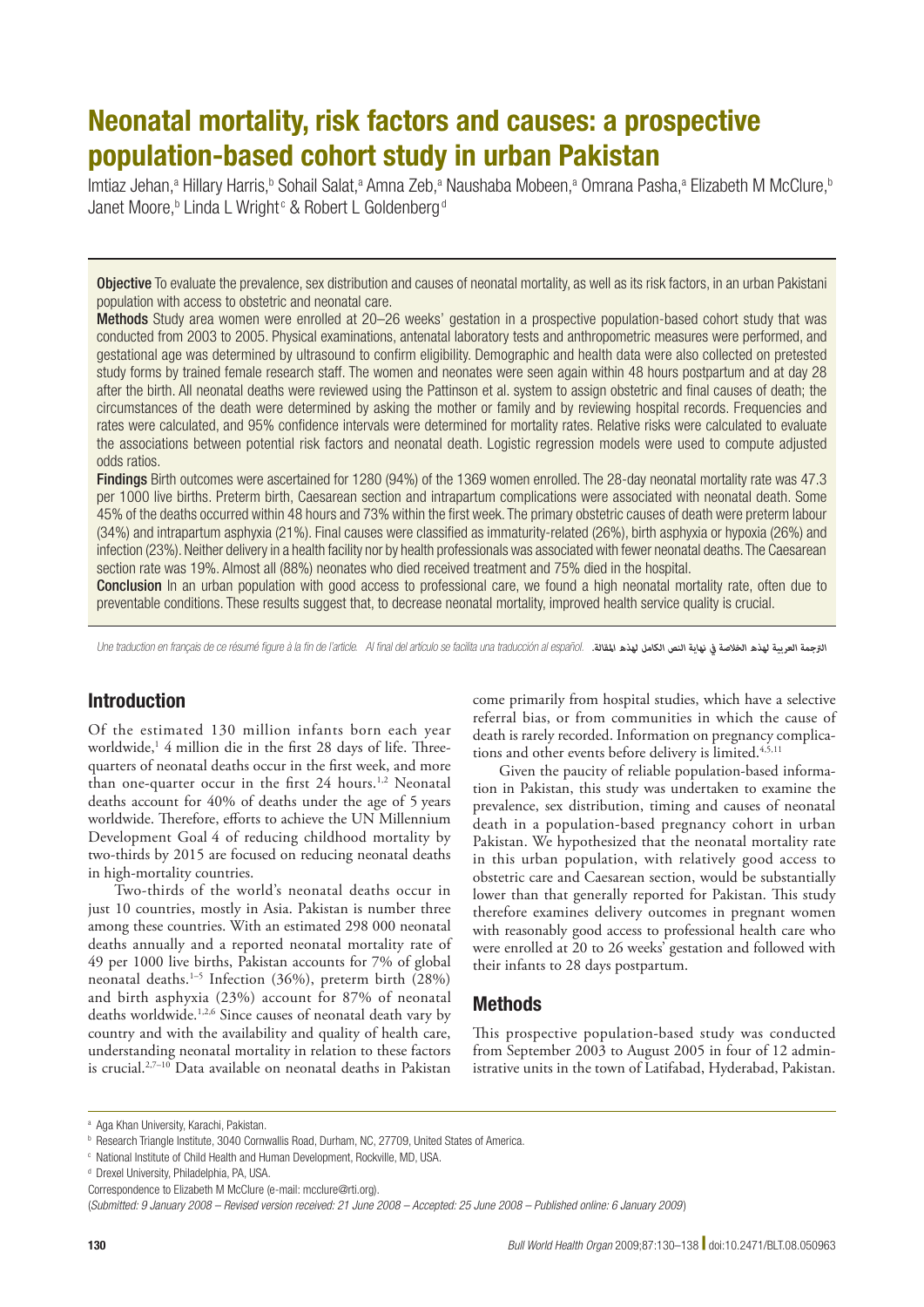# Neonatal mortality, risk factors and causes: a prospective population-based cohort study in urban Pakistan

lmtiaz Jehan,ª Hillary Harris,b Sohail Salat,ª Amna Zeb,ª Naushaba Mobeen,ª Omrana Pasha,ª Elizabeth M McClure,b Janet Moore,<sup>b</sup> Linda L Wright<sup>c</sup> & Robert L Goldenberg<sup>d</sup>

Objective To evaluate the prevalence, sex distribution and causes of neonatal mortality, as well as its risk factors, in an urban Pakistani population with access to obstetric and neonatal care.

Methods Study area women were enrolled at 20–26 weeks' gestation in a prospective population-based cohort study that was conducted from 2003 to 2005. Physical examinations, antenatal laboratory tests and anthropometric measures were performed, and gestational age was determined by ultrasound to confirm eligibility. Demographic and health data were also collected on pretested study forms by trained female research staff. The women and neonates were seen again within 48 hours postpartum and at day 28 after the birth. All neonatal deaths were reviewed using the Pattinson et al. system to assign obstetric and final causes of death; the circumstances of the death were determined by asking the mother or family and by reviewing hospital records. Frequencies and rates were calculated, and 95% confidence intervals were determined for mortality rates. Relative risks were calculated to evaluate the associations between potential risk factors and neonatal death. Logistic regression models were used to compute adjusted odds ratios.

Findings Birth outcomes were ascertained for 1280 (94%) of the 1369 women enrolled. The 28-day neonatal mortality rate was 47.3 per 1000 live births. Preterm birth, Caesarean section and intrapartum complications were associated with neonatal death. Some 45% of the deaths occurred within 48 hours and 73% within the first week. The primary obstetric causes of death were preterm labour (34%) and intrapartum asphyxia (21%). Final causes were classified as immaturity-related (26%), birth asphyxia or hypoxia (26%) and infection (23%). Neither delivery in a health facility nor by health professionals was associated with fewer neonatal deaths. The Caesarean section rate was 19%. Almost all (88%) neonates who died received treatment and 75% died in the hospital.

Conclusion In an urban population with good access to professional care, we found a high neonatal mortality rate, often due to preventable conditions. These results suggest that, to decrease neonatal mortality, improved health service quality is crucial.

Une traduction en français de ce résumé figure à la fin de l'article. Al final del artículo se facilita una traducción al español. *الرتجمة العربية لهذه الخالصة يف نهاية النص الكامل لهذه املقالة.*

# **Introduction**

Of the estimated 130 million infants born each year worldwide,1 4 million die in the first 28 days of life. Threequarters of neonatal deaths occur in the first week, and more than one-quarter occur in the first 24 hours.<sup>1,2</sup> Neonatal deaths account for 40% of deaths under the age of 5 years worldwide. Therefore, efforts to achieve the UN Millennium Development Goal 4 of reducing childhood mortality by two-thirds by 2015 are focused on reducing neonatal deaths in high-mortality countries.

Two-thirds of the world's neonatal deaths occur in just 10 countries, mostly in Asia. Pakistan is number three among these countries. With an estimated 298 000 neonatal deaths annually and a reported neonatal mortality rate of 49 per 1000 live births, Pakistan accounts for 7% of global neonatal deaths.1–5 Infection (36%), preterm birth (28%) and birth asphyxia (23%) account for 87% of neonatal deaths worldwide.1,2,6 Since causes of neonatal death vary by country and with the availability and quality of health care, understanding neonatal mortality in relation to these factors is crucial.2,7–10 Data available on neonatal deaths in Pakistan

come primarily from hospital studies, which have a selective referral bias, or from communities in which the cause of death is rarely recorded. Information on pregnancy complications and other events before delivery is limited.<sup>4,5,11</sup>

Given the paucity of reliable population-based information in Pakistan, this study was undertaken to examine the prevalence, sex distribution, timing and causes of neonatal death in a population-based pregnancy cohort in urban Pakistan. We hypothesized that the neonatal mortality rate in this urban population, with relatively good access to obstetric care and Caesarean section, would be substantially lower than that generally reported for Pakistan. This study therefore examines delivery outcomes in pregnant women with reasonably good access to professional health care who were enrolled at 20 to 26 weeks' gestation and followed with their infants to 28 days postpartum.

# Methods

This prospective population-based study was conducted from September 2003 to August 2005 in four of 12 administrative units in the town of Latifabad, Hyderabad, Pakistan.

<sup>&</sup>lt;sup>a</sup> Aga Khan University, Karachi, Pakistan.

b Research Triangle Institute, 3040 Cornwallis Road, Durham, NC, 27709, United States of America.

c National Institute of Child Health and Human Development, Rockville, MD, USA.

<sup>&</sup>lt;sup>d</sup> Drexel University, Philadelphia, PA, USA.

Correspondence to Elizabeth M McClure (e-mail: mcclure@rti.org).

<sup>(</sup>*Submitted: 9 January 2008 – Revised version received: 21 June 2008 – Accepted: 25 June 2008 – Published online: 6 January 2009* )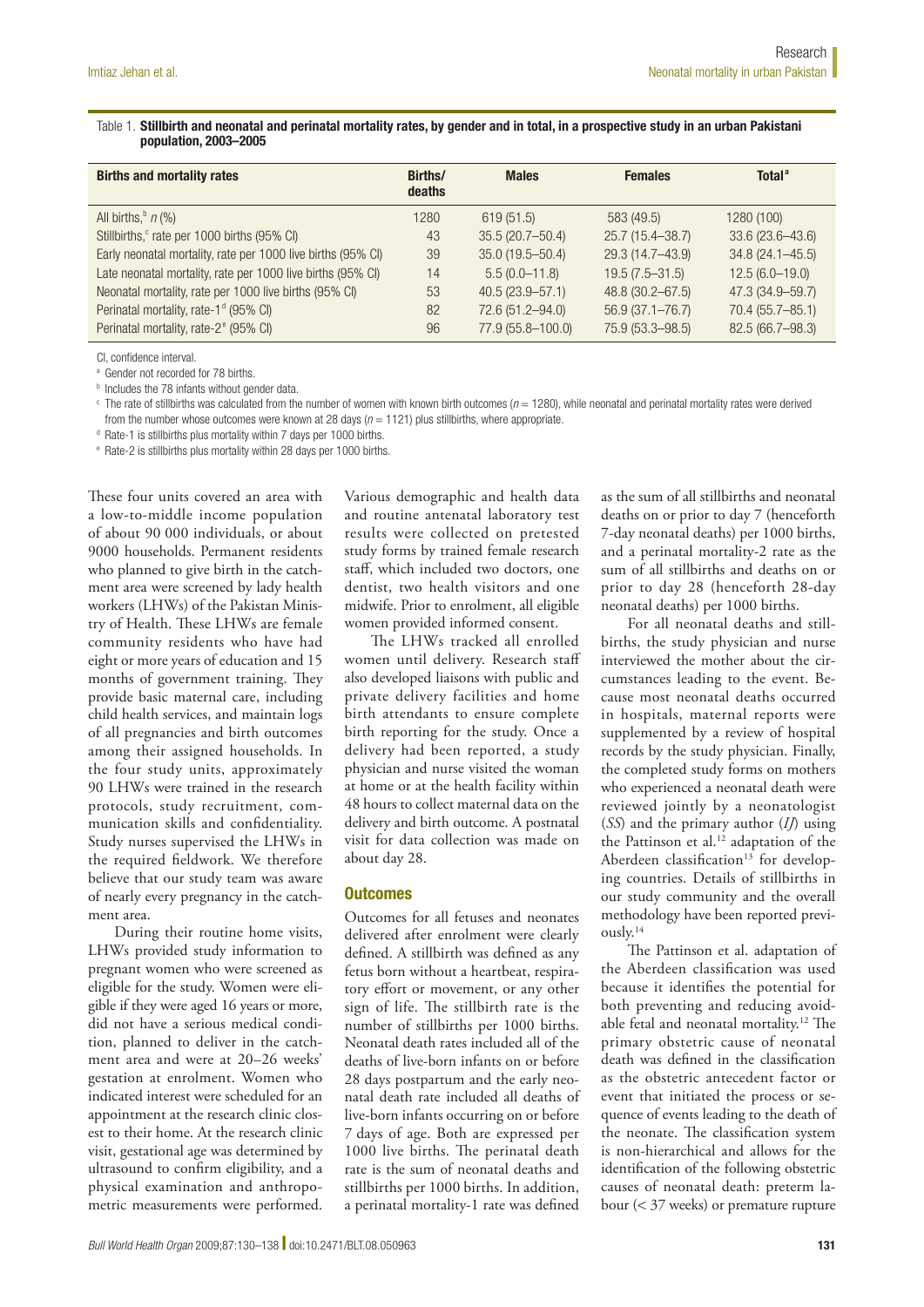## Table 1. Stillbirth and neonatal and perinatal mortality rates, by gender and in total, in a prospective study in an urban Pakistani population, 2003–2005

| <b>Births and mortality rates</b>                            | Births/<br>deaths | <b>Males</b>        | <b>Females</b>      | Total <sup>a</sup>  |
|--------------------------------------------------------------|-------------------|---------------------|---------------------|---------------------|
| All births, $n$ (%)                                          | 1280              | 619(51.5)           | 583 (49.5)          | 1280 (100)          |
| Stillbirths, <sup>c</sup> rate per 1000 births (95% CI)      | 43                | $35.5(20.7 - 50.4)$ | 25.7 (15.4-38.7)    | $33.6(23.6 - 43.6)$ |
| Early neonatal mortality, rate per 1000 live births (95% CI) | 39                | $35.0(19.5 - 50.4)$ | 29.3 (14.7-43.9)    | $34.8(24.1 - 45.5)$ |
| Late neonatal mortality, rate per 1000 live births (95% CI)  | 14                | $5.5(0.0-11.8)$     | $19.5(7.5 - 31.5)$  | $12.5(6.0-19.0)$    |
| Neonatal mortality, rate per 1000 live births (95% CI)       | 53                | $40.5(23.9 - 57.1)$ | 48.8 (30.2-67.5)    | 47.3 (34.9-59.7)    |
| Perinatal mortality, rate-1 <sup>d</sup> (95% CI)            | 82                | 72.6 (51.2-94.0)    | $56.9(37.1 - 76.7)$ | 70.4 (55.7-85.1)    |
| Perinatal mortality, rate-2 <sup>e</sup> (95% CI)            | 96                | 77.9 (55.8-100.0)   | 75.9 (53.3 - 98.5)  | 82.5 (66.7-98.3)    |

CI, confidence interval.

a Gender not recorded for 78 births.

**b** Includes the 78 infants without gender data.

c The rate of stillbirths was calculated from the number of women with known birth outcomes (*n* = 1280), while neonatal and perinatal mortality rates were derived from the number whose outcomes were known at 28 days (*n* = 1121) plus stillbirths, where appropriate.

<sup>d</sup> Rate-1 is stillbirths plus mortality within 7 days per 1000 births.

e Rate-2 is stillbirths plus mortality within 28 days per 1000 births.

These four units covered an area with a low-to-middle income population of about 90 000 individuals, or about 9000 households. Permanent residents who planned to give birth in the catchment area were screened by lady health workers (LHWs) of the Pakistan Ministry of Health. These LHWs are female community residents who have had eight or more years of education and 15 months of government training. They provide basic maternal care, including child health services, and maintain logs of all pregnancies and birth outcomes among their assigned households. In the four study units, approximately 90 LHWs were trained in the research protocols, study recruitment, communication skills and confidentiality. Study nurses supervised the LHWs in the required fieldwork. We therefore believe that our study team was aware of nearly every pregnancy in the catchment area.

During their routine home visits, LHWs provided study information to pregnant women who were screened as eligible for the study. Women were eligible if they were aged 16 years or more, did not have a serious medical condition, planned to deliver in the catchment area and were at 20–26 weeks' gestation at enrolment. Women who indicated interest were scheduled for an appointment at the research clinic closest to their home. At the research clinic visit, gestational age was determined by ultrasound to confirm eligibility, and a physical examination and anthropometric measurements were performed.

Various demographic and health data and routine antenatal laboratory test results were collected on pretested study forms by trained female research staff, which included two doctors, one dentist, two health visitors and one midwife. Prior to enrolment, all eligible women provided informed consent.

The LHWs tracked all enrolled women until delivery. Research staff also developed liaisons with public and private delivery facilities and home birth attendants to ensure complete birth reporting for the study. Once a delivery had been reported, a study physician and nurse visited the woman at home or at the health facility within 48 hours to collect maternal data on the delivery and birth outcome. A postnatal visit for data collection was made on about day 28.

## **Outcomes**

Outcomes for all fetuses and neonates delivered after enrolment were clearly defined. A stillbirth was defined as any fetus born without a heartbeat, respiratory effort or movement, or any other sign of life. The stillbirth rate is the number of stillbirths per 1000 births. Neonatal death rates included all of the deaths of live-born infants on or before 28 days postpartum and the early neonatal death rate included all deaths of live-born infants occurring on or before 7 days of age. Both are expressed per 1000 live births. The perinatal death rate is the sum of neonatal deaths and stillbirths per 1000 births. In addition, a perinatal mortality-1 rate was defined

as the sum of all stillbirths and neonatal deaths on or prior to day 7 (henceforth 7-day neonatal deaths) per 1000 births, and a perinatal mortality-2 rate as the sum of all stillbirths and deaths on or prior to day 28 (henceforth 28-day neonatal deaths) per 1000 births.

For all neonatal deaths and stillbirths, the study physician and nurse interviewed the mother about the circumstances leading to the event. Because most neonatal deaths occurred in hospitals, maternal reports were supplemented by a review of hospital records by the study physician. Finally, the completed study forms on mothers who experienced a neonatal death were reviewed jointly by a neonatologist (*SS*) and the primary author (*IJ*) using the Pattinson et al.12 adaptation of the Aberdeen classification<sup>13</sup> for developing countries. Details of stillbirths in our study community and the overall methodology have been reported previously.14

The Pattinson et al. adaptation of the Aberdeen classification was used because it identifies the potential for both preventing and reducing avoidable fetal and neonatal mortality.12 The primary obstetric cause of neonatal death was defined in the classification as the obstetric antecedent factor or event that initiated the process or sequence of events leading to the death of the neonate. The classification system is non-hierarchical and allows for the identification of the following obstetric causes of neonatal death: preterm labour (< 37 weeks) or premature rupture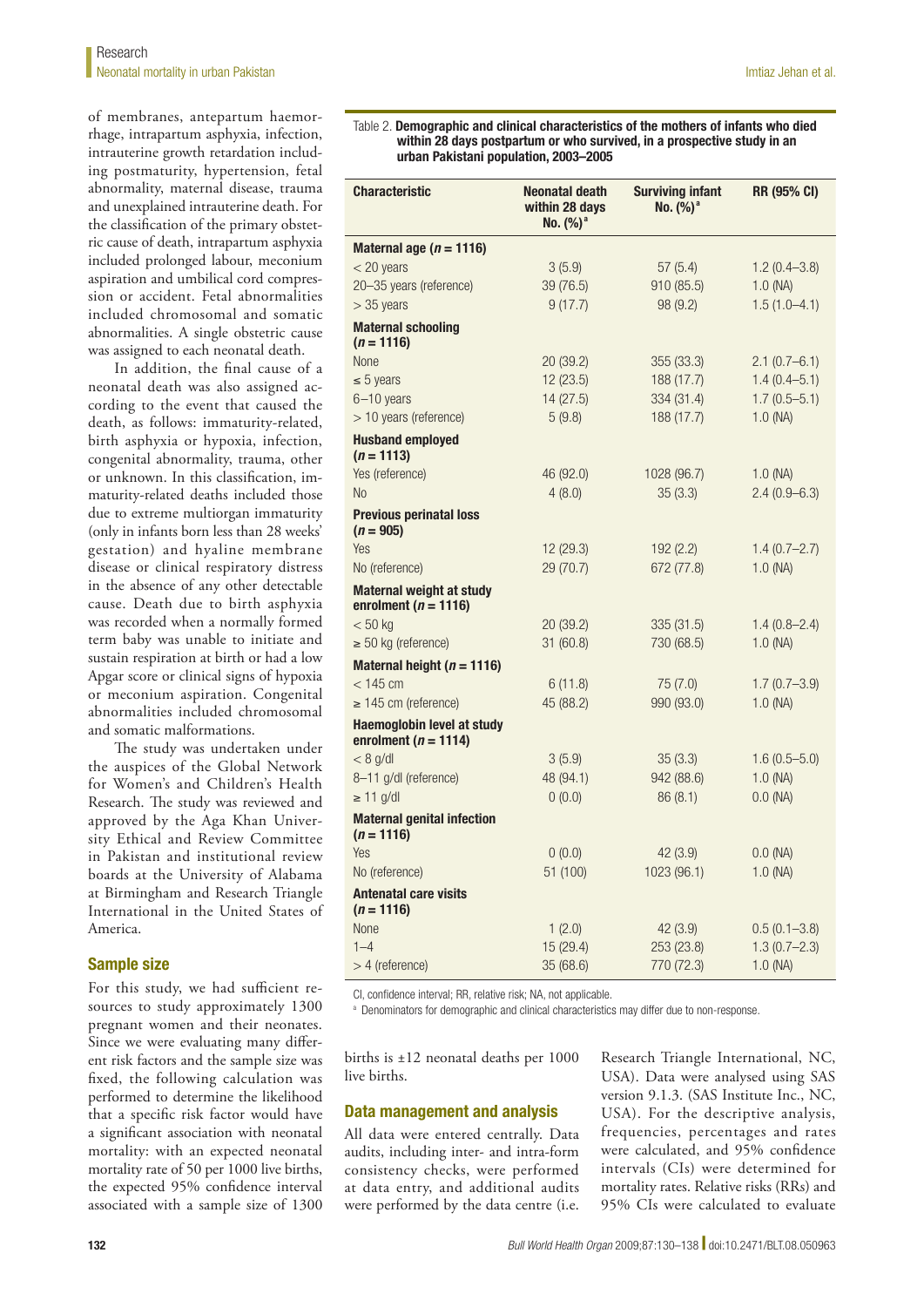of membranes, antepartum haemorrhage, intrapartum asphyxia, infection, intrauterine growth retardation including postmaturity, hypertension, fetal abnormality, maternal disease, trauma and unexplained intrauterine death. For the classification of the primary obstetric cause of death, intrapartum asphyxia included prolonged labour, meconium aspiration and umbilical cord compression or accident. Fetal abnormalities included chromosomal and somatic abnormalities. A single obstetric cause was assigned to each neonatal death.

In addition, the final cause of a neonatal death was also assigned according to the event that caused the death, as follows: immaturity-related, birth asphyxia or hypoxia, infection, congenital abnormality, trauma, other or unknown. In this classification, immaturity-related deaths included those due to extreme multiorgan immaturity (only in infants born less than 28 weeks' gestation) and hyaline membrane disease or clinical respiratory distress in the absence of any other detectable cause. Death due to birth asphyxia was recorded when a normally formed term baby was unable to initiate and sustain respiration at birth or had a low Apgar score or clinical signs of hypoxia or meconium aspiration. Congenital abnormalities included chromosomal and somatic malformations.

The study was undertaken under the auspices of the Global Network for Women's and Children's Health Research. The study was reviewed and approved by the Aga Khan University Ethical and Review Committee in Pakistan and institutional review boards at the University of Alabama at Birmingham and Research Triangle International in the United States of America.

# Sample size

For this study, we had sufficient resources to study approximately 1300 pregnant women and their neonates. Since we were evaluating many different risk factors and the sample size was fixed, the following calculation was performed to determine the likelihood that a specific risk factor would have a significant association with neonatal mortality: with an expected neonatal mortality rate of 50 per 1000 live births, the expected 95% confidence interval associated with a sample size of 1300

#### Table 2. Demographic and clinical characteristics of the mothers of infants who died within 28 days postpartum or who survived, in a prospective study in an urban Pakistani population, 2003–2005

| <b>Characteristic</b>                                         | <b>Neonatal death</b><br>within 28 days<br>No. $(%)^a$ | <b>Surviving infant</b><br>No. (%) <sup>a</sup> | RR (95% CI)      |
|---------------------------------------------------------------|--------------------------------------------------------|-------------------------------------------------|------------------|
| Maternal age ( $n = 1116$ )                                   |                                                        |                                                 |                  |
| $<$ 20 years                                                  | 3(5.9)                                                 | 57(5.4)                                         | $1.2(0.4 - 3.8)$ |
| 20-35 years (reference)                                       | 39 (76.5)                                              | 910 (85.5)                                      | $1.0$ (NA)       |
| $>$ 35 years                                                  | 9(17.7)                                                | 98 (9.2)                                        | $1.5(1.0-4.1)$   |
| <b>Maternal schooling</b><br>$(n = 1116)$                     |                                                        |                                                 |                  |
| None                                                          | 20 (39.2)                                              | 355 (33.3)                                      | $2.1(0.7-6.1)$   |
| $\leq 5$ years                                                | 12(23.5)                                               | 188 (17.7)                                      | $1.4(0.4 - 5.1)$ |
| $6 - 10$ years                                                | 14(27.5)                                               | 334 (31.4)                                      | $1.7(0.5 - 5.1)$ |
| > 10 years (reference)                                        | 5(9.8)                                                 | 188 (17.7)                                      | 1.0 (NA)         |
| <b>Husband employed</b><br>$(n = 1113)$                       |                                                        |                                                 |                  |
| Yes (reference)                                               | 46 (92.0)                                              | 1028 (96.7)                                     | $1.0$ (NA)       |
| <b>No</b>                                                     | 4(8.0)                                                 | 35(3.3)                                         | $2.4(0.9-6.3)$   |
| <b>Previous perinatal loss</b><br>$(n = 905)$                 |                                                        |                                                 |                  |
| Yes                                                           | 12 (29.3)                                              | 192 (2.2)                                       | $1.4(0.7-2.7)$   |
| No (reference)                                                | 29 (70.7)                                              | 672 (77.8)                                      | $1.0$ (NA)       |
| <b>Maternal weight at study</b><br>enrolment ( $n = 1116$ )   |                                                        |                                                 |                  |
| $< 50$ kg                                                     | 20 (39.2)                                              | 335(31.5)                                       | $1.4(0.8 - 2.4)$ |
| $\geq$ 50 kg (reference)                                      | 31 (60.8)                                              | 730 (68.5)                                      | $1.0$ (NA)       |
| Maternal height ( $n = 1116$ )                                |                                                        |                                                 |                  |
| $<$ 145 cm                                                    | 6(11.8)                                                | 75 (7.0)                                        | $1.7(0.7 - 3.9)$ |
| $\geq$ 145 cm (reference)                                     | 45 (88.2)                                              | 990 (93.0)                                      | $1.0$ (NA)       |
| <b>Haemoglobin level at study</b><br>enrolment ( $n = 1114$ ) |                                                        |                                                 |                  |
| $< 8$ g/dl                                                    | 3(5.9)                                                 | 35(3.3)                                         | $1.6(0.5 - 5.0)$ |
| 8-11 g/dl (reference)                                         | 48 (94.1)                                              | 942 (88.6)                                      | $1.0$ (NA)       |
| $\geq$ 11 g/dl                                                | 0(0.0)                                                 | 86(8.1)                                         | $0.0$ (NA)       |
| <b>Maternal genital infection</b><br>$(n = 1116)$             |                                                        |                                                 |                  |
| Yes                                                           | 0(0.0)                                                 | 42(3.9)                                         | $0.0$ (NA)       |
| No (reference)                                                | 51 (100)                                               | 1023 (96.1)                                     | $1.0$ (NA)       |
| <b>Antenatal care visits</b><br>$(n = 1116)$                  |                                                        |                                                 |                  |
| None                                                          | 1(2.0)                                                 | 42 (3.9)                                        | $0.5(0.1 - 3.8)$ |
| $1 - 4$                                                       | 15 (29.4)                                              | 253 (23.8)                                      | $1.3(0.7 - 2.3)$ |
| $> 4$ (reference)                                             | 35(68.6)                                               | 770 (72.3)                                      | 1.0 (NA)         |

CI, confidence interval; RR, relative risk; NA, not applicable.

a Denominators for demographic and clinical characteristics may differ due to non-response.

births is ±12 neonatal deaths per 1000 live births.

# Data management and analysis

All data were entered centrally. Data audits, including inter- and intra-form consistency checks, were performed at data entry, and additional audits were performed by the data centre (i.e.

Research Triangle International, NC, USA). Data were analysed using SAS version 9.1.3. (SAS Institute Inc., NC, USA). For the descriptive analysis, frequencies, percentages and rates were calculated, and 95% confidence intervals (CIs) were determined for mortality rates. Relative risks (RRs) and 95% CIs were calculated to evaluate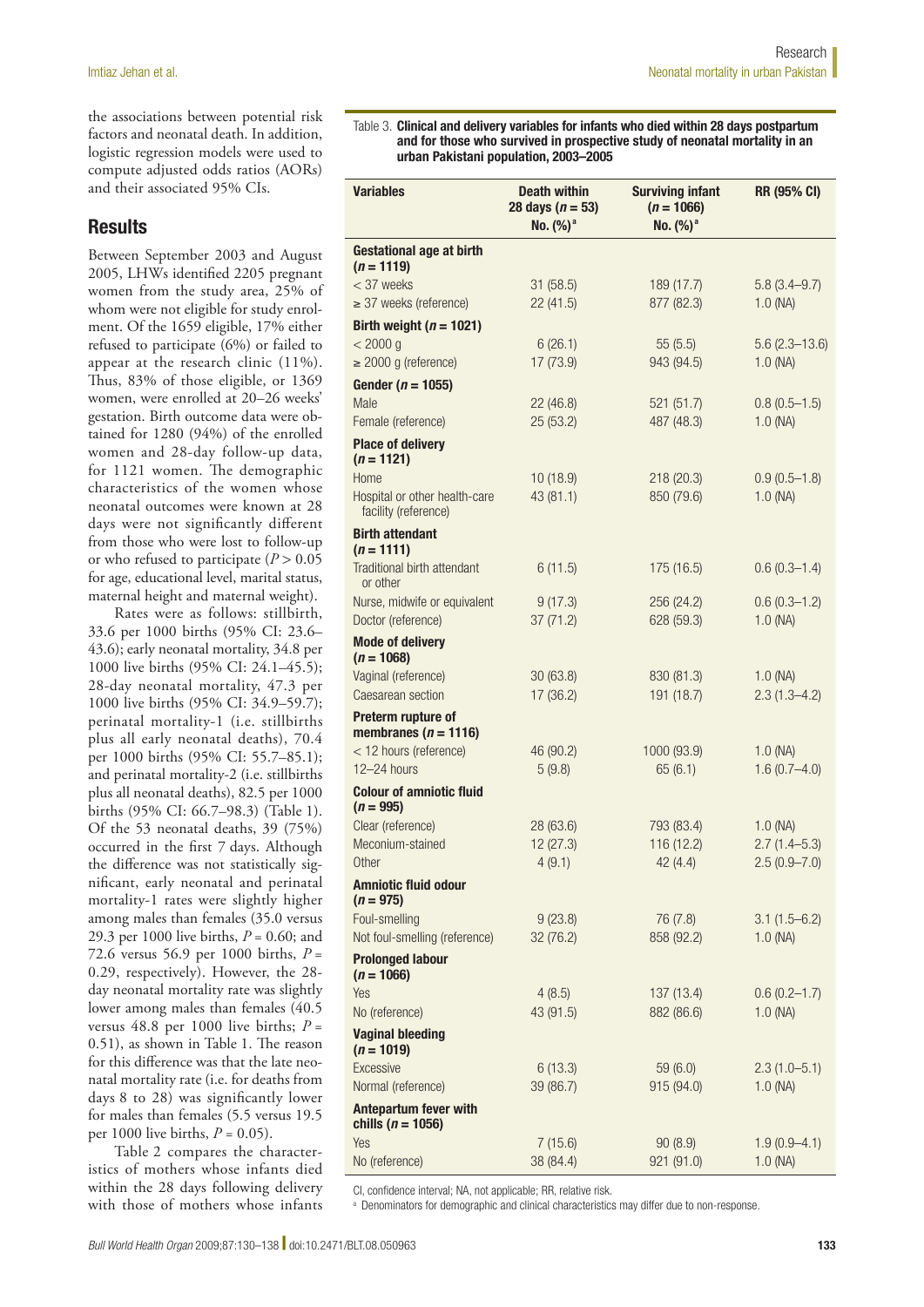the associations between potential risk factors and neonatal death. In addition, logistic regression models were used to compute adjusted odds ratios (AORs) and their associated 95% CIs.

# **Results**

Between September 2003 and August 2005, LHWs identified 2205 pregnant women from the study area, 25% of whom were not eligible for study enrolment. Of the 1659 eligible, 17% either refused to participate (6%) or failed to appear at the research clinic (11%). Thus, 83% of those eligible, or 1369 women, were enrolled at 20–26 weeks' gestation. Birth outcome data were obtained for 1280 (94%) of the enrolled women and 28-day follow-up data, for 1121 women. The demographic characteristics of the women whose neonatal outcomes were known at 28 days were not significantly different from those who were lost to follow-up or who refused to participate (*P* > 0.05 for age, educational level, marital status, maternal height and maternal weight).

Rates were as follows: stillbirth, 33.6 per 1000 births (95% CI: 23.6– 43.6); early neonatal mortality, 34.8 per 1000 live births (95% CI: 24.1–45.5); 28-day neonatal mortality, 47.3 per 1000 live births (95% CI: 34.9–59.7); perinatal mortality-1 (i.e. stillbirths plus all early neonatal deaths), 70.4 per 1000 births (95% CI: 55.7–85.1); and perinatal mortality-2 (i.e. stillbirths plus all neonatal deaths), 82.5 per 1000 births (95% CI: 66.7–98.3) (Table 1). Of the 53 neonatal deaths, 39 (75%) occurred in the first 7 days. Although the difference was not statistically significant, early neonatal and perinatal mortality-1 rates were slightly higher among males than females (35.0 versus 29.3 per 1000 live births, *P* = 0.60; and 72.6 versus 56.9 per 1000 births, *P* = 0.29, respectively). However, the 28 day neonatal mortality rate was slightly lower among males than females (40.5 versus 48.8 per 1000 live births;  $P =$ 0.51), as shown in Table 1. The reason for this difference was that the late neonatal mortality rate (i.e. for deaths from days 8 to 28) was significantly lower for males than females (5.5 versus 19.5 per 1000 live births, *P* = 0.05).

Table 2 compares the characteristics of mothers whose infants died within the 28 days following delivery with those of mothers whose infants

Table 3. Clinical and delivery variables for infants who died within 28 days postpartum and for those who survived in prospective study of neonatal mortality in an urban Pakistani population, 2003–2005

| <b>Variables</b>                                      | <b>Death within</b><br>28 days ( $n = 53$ )<br>No. $(%)^a$ | <b>Surviving infant</b><br>$(n = 1066)$<br>No. $(%)^a$ | <b>RR (95% CI)</b>             |
|-------------------------------------------------------|------------------------------------------------------------|--------------------------------------------------------|--------------------------------|
| <b>Gestational age at birth</b><br>$(n = 1119)$       |                                                            |                                                        |                                |
| $<$ 37 weeks                                          | 31 (58.5)                                                  | 189 (17.7)                                             | $5.8(3.4 - 9.7)$               |
| $\geq$ 37 weeks (reference)                           | 22(41.5)                                                   | 877 (82.3)                                             | $1.0$ (NA)                     |
| Birth weight ( $n = 1021$ )                           |                                                            |                                                        |                                |
| < 2000 g                                              | 6(26.1)                                                    | 55(5.5)                                                | $5.6(2.3 - 13.6)$              |
| $\geq$ 2000 g (reference)                             | 17 (73.9)                                                  | 943 (94.5)                                             | $1.0$ (NA)                     |
| Gender ( $n = 1055$ )                                 |                                                            |                                                        |                                |
| Male                                                  | 22 (46.8)                                                  | 521 (51.7)                                             | $0.8(0.5-1.5)$                 |
| Female (reference)                                    | 25(53.2)                                                   | 487 (48.3)                                             | $1.0$ (NA)                     |
| <b>Place of delivery</b><br>$(n = 1121)$              |                                                            |                                                        |                                |
| Home                                                  | 10(18.9)                                                   | 218 (20.3)                                             | $0.9(0.5-1.8)$                 |
| Hospital or other health-care<br>facility (reference) | 43 (81.1)                                                  | 850 (79.6)                                             | $1.0$ (NA)                     |
| <b>Birth attendant</b><br>$(n = 1111)$                |                                                            |                                                        |                                |
| Traditional birth attendant<br>or other               | 6(11.5)                                                    | 175(16.5)                                              | $0.6(0.3 - 1.4)$               |
| Nurse, midwife or equivalent                          | 9(17.3)                                                    | 256 (24.2)                                             | $0.6(0.3 - 1.2)$               |
| Doctor (reference)                                    | 37(71.2)                                                   | 628 (59.3)                                             | $1.0$ (NA)                     |
| <b>Mode of delivery</b><br>$(n = 1068)$               |                                                            |                                                        |                                |
| Vaginal (reference)<br>Caesarean section              | 30(63.8)<br>17 (36.2)                                      | 830 (81.3)<br>191 (18.7)                               | $1.0$ (NA)<br>$2.3(1.3 - 4.2)$ |
| Preterm rupture of                                    |                                                            |                                                        |                                |
| membranes ( $n = 1116$ )                              |                                                            |                                                        |                                |
| < 12 hours (reference)                                | 46 (90.2)                                                  | 1000 (93.9)                                            | $1.0$ (NA)                     |
| 12-24 hours                                           | 5(9.8)                                                     | 65(6.1)                                                | $1.6(0.7-4.0)$                 |
| <b>Colour of amniotic fluid</b><br>$(n = 995)$        |                                                            |                                                        |                                |
| Clear (reference)                                     | 28 (63.6)                                                  | 793 (83.4)                                             | $1.0$ (NA)                     |
| Meconium-stained                                      | 12 (27.3)                                                  | 116 (12.2)                                             | $2.7(1.4-5.3)$                 |
| Other                                                 | 4(9.1)                                                     | 42 (4.4)                                               | $2.5(0.9 - 7.0)$               |
| <b>Amniotic fluid odour</b><br>$(n = 975)$            |                                                            |                                                        |                                |
| Foul-smelling                                         | 9(23.8)                                                    | 76 (7.8)                                               | $3.1(1.5-6.2)$                 |
| Not foul-smelling (reference)                         | 32 (76.2)                                                  | 858 (92.2)                                             | $1.0$ (NA)                     |
| <b>Prolonged labour</b><br>$(n = 1066)$               |                                                            |                                                        |                                |
| Yes                                                   | 4(8.5)                                                     | 137 (13.4)                                             | $0.6(0.2 - 1.7)$               |
| No (reference)                                        | 43 (91.5)                                                  | 882 (86.6)                                             | $1.0$ (NA)                     |
| <b>Vaginal bleeding</b><br>$(n = 1019)$               |                                                            |                                                        |                                |
| Excessive                                             | 6(13.3)                                                    | 59(6.0)                                                | $2.3(1.0-5.1)$                 |
| Normal (reference)                                    | 39 (86.7)                                                  | 915 (94.0)                                             | $1.0$ (NA)                     |
| <b>Antepartum fever with</b><br>chills ( $n = 1056$ ) |                                                            |                                                        |                                |
| Yes<br>No (reference)                                 | 7(15.6)<br>38 (84.4)                                       | 90(8.9)<br>921 (91.0)                                  | $1.9(0.9-4.1)$<br>$1.0$ (NA)   |
|                                                       |                                                            |                                                        |                                |

CI, confidence interval; NA, not applicable; RR, relative risk.

<sup>a</sup> Denominators for demographic and clinical characteristics may differ due to non-response.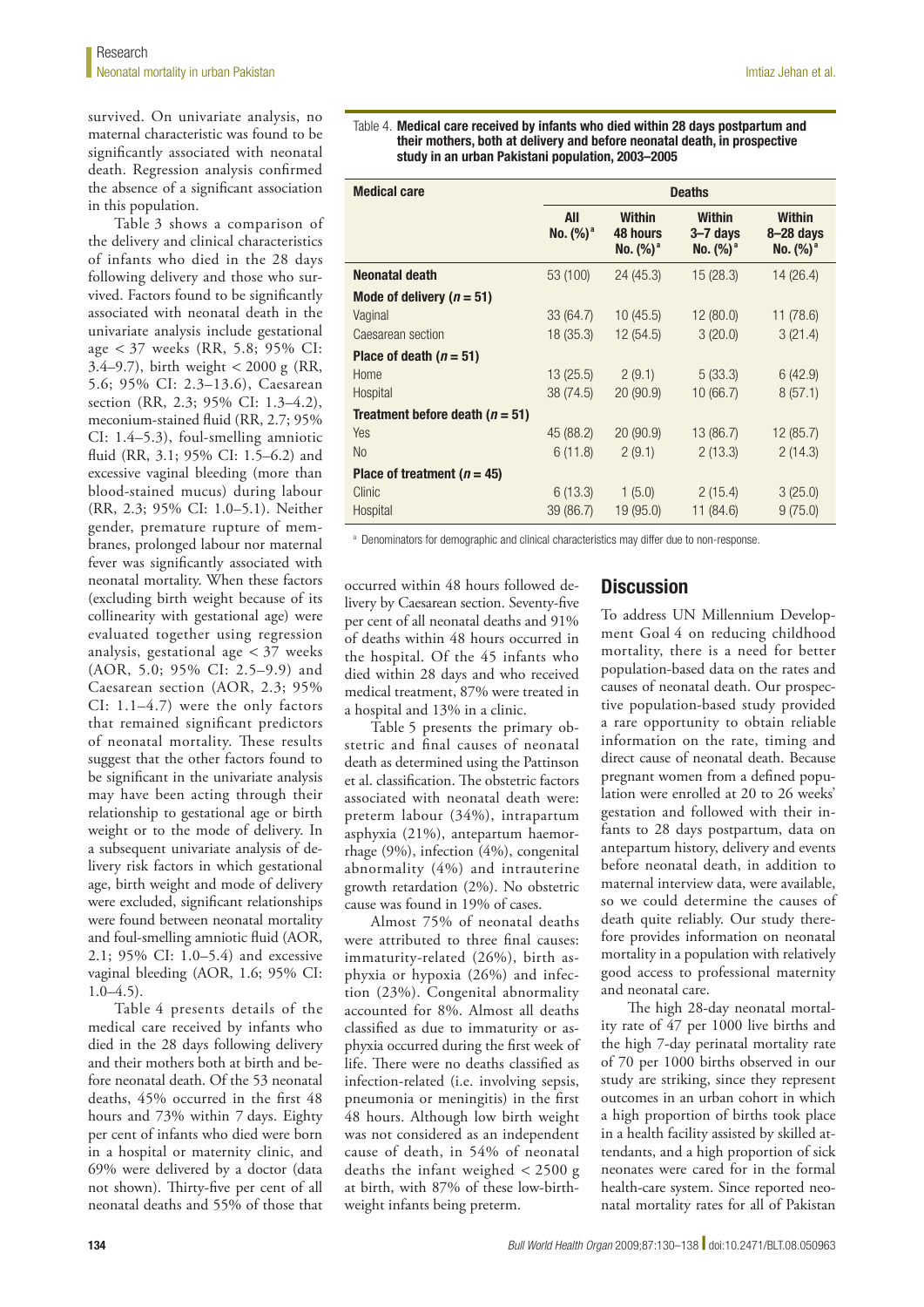survived. On univariate analysis, no maternal characteristic was found to be significantly associated with neonatal death. Regression analysis confirmed the absence of a significant association in this population.

Table 3 shows a comparison of the delivery and clinical characteristics of infants who died in the 28 days following delivery and those who survived. Factors found to be significantly associated with neonatal death in the univariate analysis include gestational age < 37 weeks (RR, 5.8; 95% CI: 3.4–9.7), birth weight < 2000 g (RR, 5.6; 95% CI: 2.3–13.6), Caesarean section (RR, 2.3; 95% CI: 1.3–4.2), meconium-stained fluid (RR, 2.7; 95% CI: 1.4–5.3), foul-smelling amniotic fluid (RR, 3.1; 95% CI: 1.5–6.2) and excessive vaginal bleeding (more than blood-stained mucus) during labour (RR, 2.3; 95% CI: 1.0–5.1). Neither gender, premature rupture of membranes, prolonged labour nor maternal fever was significantly associated with neonatal mortality. When these factors (excluding birth weight because of its collinearity with gestational age) were evaluated together using regression analysis, gestational age < 37 weeks (AOR, 5.0; 95% CI: 2.5–9.9) and Caesarean section (AOR, 2.3; 95% CI: 1.1–4.7) were the only factors that remained significant predictors of neonatal mortality. These results suggest that the other factors found to be significant in the univariate analysis may have been acting through their relationship to gestational age or birth weight or to the mode of delivery. In a subsequent univariate analysis of delivery risk factors in which gestational age, birth weight and mode of delivery were excluded, significant relationships were found between neonatal mortality and foul-smelling amniotic fluid (AOR, 2.1; 95% CI: 1.0–5.4) and excessive vaginal bleeding (AOR, 1.6; 95% CI:  $1.0-4.5$ ).

Table 4 presents details of the medical care received by infants who died in the 28 days following delivery and their mothers both at birth and before neonatal death. Of the 53 neonatal deaths, 45% occurred in the first 48 hours and 73% within 7 days. Eighty per cent of infants who died were born in a hospital or maternity clinic, and 69% were delivered by a doctor (data not shown). Thirty-five per cent of all neonatal deaths and 55% of those that

#### Table 4. Medical care received by infants who died within 28 days postpartum and their mothers, both at delivery and before neonatal death, in prospective study in an urban Pakistani population, 2003–2005

| <b>Medical care</b>                 | <b>Deaths</b>      |                                          |                                              |                                                      |
|-------------------------------------|--------------------|------------------------------------------|----------------------------------------------|------------------------------------------------------|
|                                     | All<br>No. $(%)^a$ | <b>Within</b><br>48 hours<br>No. $(%)^a$ | <b>Within</b><br>$3 - 7$ days<br>No. $(%)^a$ | <b>Within</b><br>$8-28$ days<br>No. (%) <sup>a</sup> |
| Neonatal death                      | 53 (100)           | 24(45.3)                                 | 15 (28.3)                                    | 14 (26.4)                                            |
| Mode of delivery ( $n = 51$ )       |                    |                                          |                                              |                                                      |
| Vaginal                             | 33 (64.7)          | 10(45.5)                                 | 12(80.0)                                     | 11 (78.6)                                            |
| Caesarean section                   | 18(35.3)           | 12(54.5)                                 | 3(20.0)                                      | 3(21.4)                                              |
| Place of death $(n = 51)$           |                    |                                          |                                              |                                                      |
| Home                                | 13(25.5)           | 2(9.1)                                   | 5(33.3)                                      | 6(42.9)                                              |
| Hospital                            | 38 (74.5)          | 20(90.9)                                 | 10(66.7)                                     | 8(57.1)                                              |
| Treatment before death ( $n = 51$ ) |                    |                                          |                                              |                                                      |
| <b>Yes</b>                          | 45 (88.2)          | 20(90.9)                                 | 13 (86.7)                                    | 12 (85.7)                                            |
| N <sub>0</sub>                      | 6(11.8)            | 2(9.1)                                   | 2(13.3)                                      | 2(14.3)                                              |
| Place of treatment ( $n = 45$ )     |                    |                                          |                                              |                                                      |
| Clinic                              | 6(13.3)            | 1(5.0)                                   | 2(15.4)                                      | 3(25.0)                                              |
| Hospital                            | 39 (86.7)          | 19 (95.0)                                | 11 (84.6)                                    | 9(75.0)                                              |

a Denominators for demographic and clinical characteristics may differ due to non-response.

occurred within 48 hours followed delivery by Caesarean section. Seventy-five per cent of all neonatal deaths and 91% of deaths within 48 hours occurred in the hospital. Of the 45 infants who died within 28 days and who received medical treatment, 87% were treated in a hospital and 13% in a clinic.

Table 5 presents the primary obstetric and final causes of neonatal death as determined using the Pattinson et al. classification. The obstetric factors associated with neonatal death were: preterm labour (34%), intrapartum asphyxia (21%), antepartum haemorrhage (9%), infection (4%), congenital abnormality (4%) and intrauterine growth retardation (2%). No obstetric cause was found in 19% of cases.

Almost 75% of neonatal deaths were attributed to three final causes: immaturity-related (26%), birth asphyxia or hypoxia (26%) and infection (23%). Congenital abnormality accounted for 8%. Almost all deaths classified as due to immaturity or asphyxia occurred during the first week of life. There were no deaths classified as infection-related (i.e. involving sepsis, pneumonia or meningitis) in the first 48 hours. Although low birth weight was not considered as an independent cause of death, in 54% of neonatal deaths the infant weighed < 2500 g at birth, with 87% of these low-birthweight infants being preterm.

# **Discussion**

To address UN Millennium Development Goal 4 on reducing childhood mortality, there is a need for better population-based data on the rates and causes of neonatal death. Our prospective population-based study provided a rare opportunity to obtain reliable information on the rate, timing and direct cause of neonatal death. Because pregnant women from a defined population were enrolled at 20 to 26 weeks' gestation and followed with their infants to 28 days postpartum, data on antepartum history, delivery and events before neonatal death, in addition to maternal interview data, were available, so we could determine the causes of death quite reliably. Our study therefore provides information on neonatal mortality in a population with relatively good access to professional maternity and neonatal care.

The high 28-day neonatal mortality rate of 47 per 1000 live births and the high 7-day perinatal mortality rate of 70 per 1000 births observed in our study are striking, since they represent outcomes in an urban cohort in which a high proportion of births took place in a health facility assisted by skilled attendants, and a high proportion of sick neonates were cared for in the formal health-care system. Since reported neonatal mortality rates for all of Pakistan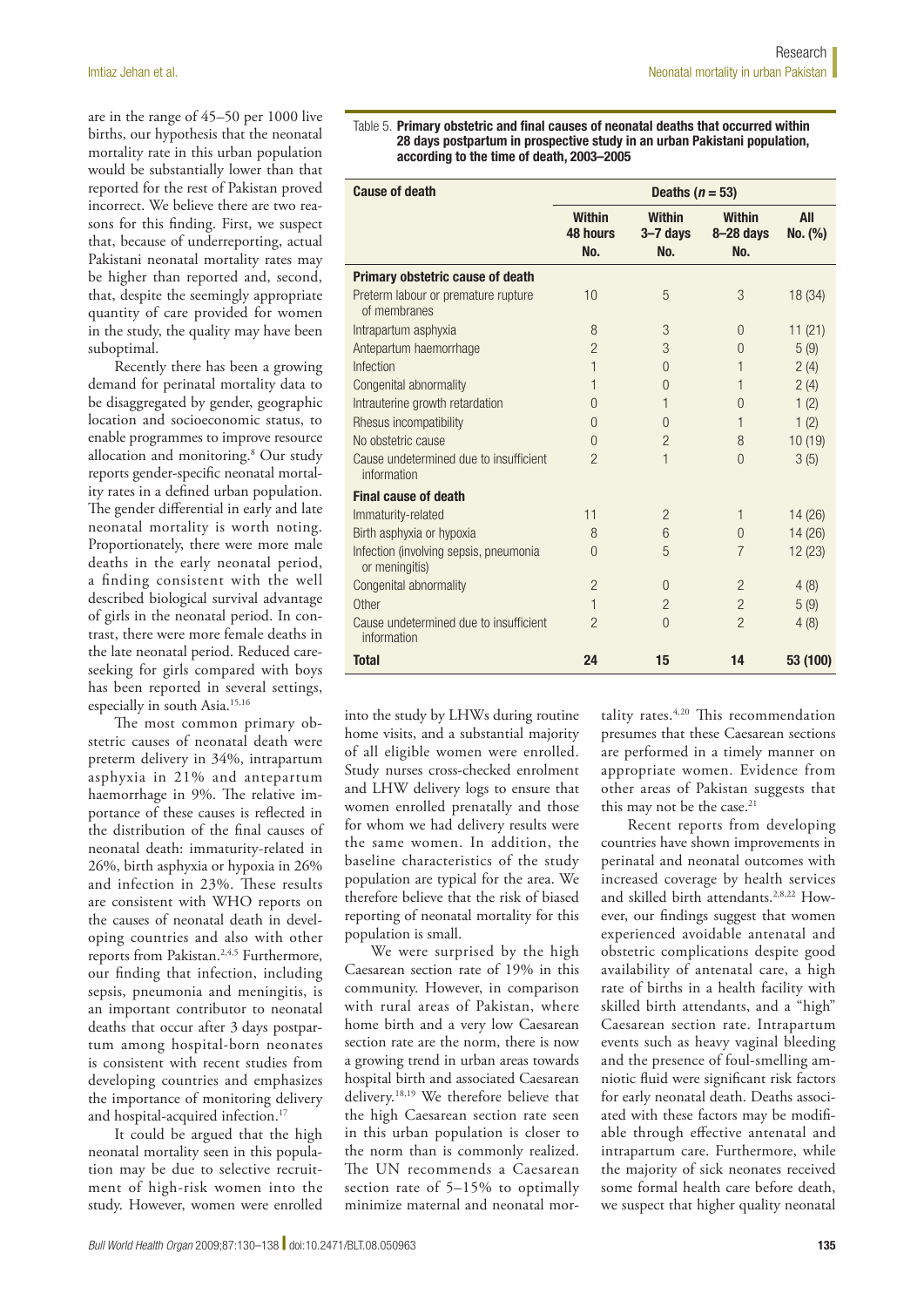are in the range of 45–50 per 1000 live births, our hypothesis that the neonatal mortality rate in this urban population would be substantially lower than that reported for the rest of Pakistan proved incorrect. We believe there are two reasons for this finding. First, we suspect that, because of underreporting, actual Pakistani neonatal mortality rates may be higher than reported and, second, that, despite the seemingly appropriate quantity of care provided for women in the study, the quality may have been suboptimal.

Recently there has been a growing demand for perinatal mortality data to be disaggregated by gender, geographic location and socioeconomic status, to enable programmes to improve resource allocation and monitoring.8 Our study reports gender-specific neonatal mortality rates in a defined urban population. The gender differential in early and late neonatal mortality is worth noting. Proportionately, there were more male deaths in the early neonatal period, a finding consistent with the well described biological survival advantage of girls in the neonatal period. In contrast, there were more female deaths in the late neonatal period. Reduced careseeking for girls compared with boys has been reported in several settings, especially in south Asia.<sup>15,16</sup>

The most common primary obstetric causes of neonatal death were preterm delivery in 34%, intrapartum asphyxia in 21% and antepartum haemorrhage in 9%. The relative importance of these causes is reflected in the distribution of the final causes of neonatal death: immaturity-related in 26%, birth asphyxia or hypoxia in 26% and infection in 23%. These results are consistent with WHO reports on the causes of neonatal death in developing countries and also with other reports from Pakistan.<sup>2,4,5</sup> Furthermore, our finding that infection, including sepsis, pneumonia and meningitis, is an important contributor to neonatal deaths that occur after 3 days postpartum among hospital-born neonates is consistent with recent studies from developing countries and emphasizes the importance of monitoring delivery and hospital-acquired infection.<sup>17</sup>

It could be argued that the high neonatal mortality seen in this population may be due to selective recruitment of high-risk women into the study. However, women were enrolled

Table 5. Primary obstetric and final causes of neonatal deaths that occurred within 28 days postpartum in prospective study in an urban Pakistani population, according to the time of death, 2003–2005

| <b>Cause of death</b>                                    | Deaths $(n = 53)$                |                                      |                                     |                |
|----------------------------------------------------------|----------------------------------|--------------------------------------|-------------------------------------|----------------|
|                                                          | <b>Within</b><br>48 hours<br>No. | <b>Within</b><br>$3 - 7$ days<br>No. | <b>Within</b><br>$8-28$ days<br>No. | All<br>No. (%) |
| Primary obstetric cause of death                         |                                  |                                      |                                     |                |
| Preterm labour or premature rupture<br>of membranes      | 10                               | 5                                    | 3                                   | 18 (34)        |
| Intrapartum asphyxia                                     | 8                                | 3                                    | $\Omega$                            | 11(21)         |
| Antepartum haemorrhage                                   | $\overline{2}$                   | 3                                    | $\Omega$                            | 5(9)           |
| Infection                                                | 1                                | $\Omega$                             | 1                                   | 2(4)           |
| Congenital abnormality                                   | 1                                | $\Omega$                             | 1                                   | 2(4)           |
| Intrauterine growth retardation                          | U                                | 1                                    | $\Omega$                            | 1(2)           |
| Rhesus incompatibility                                   | $\bigcap$                        | $\Omega$                             | 1                                   | 1(2)           |
| No obstetric cause                                       | $\Omega$                         | $\overline{2}$                       | 8                                   | 10(19)         |
| Cause undetermined due to insufficient<br>information    | $\mathcal{P}$                    | 1                                    | $\Omega$                            | 3(5)           |
| <b>Final cause of death</b>                              |                                  |                                      |                                     |                |
| Immaturity-related                                       | 11                               | $\overline{2}$                       | 1                                   | 14(26)         |
| Birth asphyxia or hypoxia                                | 8                                | 6                                    | $\Omega$                            | 14(26)         |
| Infection (involving sepsis, pneumonia<br>or meningitis) | $\Omega$                         | 5                                    | $\overline{7}$                      | 12(23)         |
| Congenital abnormality                                   | $\mathfrak{p}$                   | $\Omega$                             | $\overline{2}$                      | 4(8)           |
| Other                                                    | 1                                | $\overline{2}$                       | $\overline{2}$                      | 5(9)           |
| Cause undetermined due to insufficient<br>information    | $\mathcal{P}$                    | $\Omega$                             | $\mathcal{P}$                       | 4(8)           |
| <b>Total</b>                                             | 24                               | 15                                   | 14                                  | 53 (100)       |

into the study by LHWs during routine home visits, and a substantial majority of all eligible women were enrolled. Study nurses cross-checked enrolment and LHW delivery logs to ensure that women enrolled prenatally and those for whom we had delivery results were the same women. In addition, the baseline characteristics of the study population are typical for the area. We therefore believe that the risk of biased reporting of neonatal mortality for this population is small.

We were surprised by the high Caesarean section rate of 19% in this community. However, in comparison with rural areas of Pakistan, where home birth and a very low Caesarean section rate are the norm, there is now a growing trend in urban areas towards hospital birth and associated Caesarean delivery.18,19 We therefore believe that the high Caesarean section rate seen in this urban population is closer to the norm than is commonly realized. The UN recommends a Caesarean section rate of 5–15% to optimally minimize maternal and neonatal mortality rates.<sup>4,20</sup> This recommendation presumes that these Caesarean sections are performed in a timely manner on appropriate women. Evidence from other areas of Pakistan suggests that this may not be the case.<sup>21</sup>

Recent reports from developing countries have shown improvements in perinatal and neonatal outcomes with increased coverage by health services and skilled birth attendants.<sup>2,8,22</sup> However, our findings suggest that women experienced avoidable antenatal and obstetric complications despite good availability of antenatal care, a high rate of births in a health facility with skilled birth attendants, and a "high" Caesarean section rate. Intrapartum events such as heavy vaginal bleeding and the presence of foul-smelling amniotic fluid were significant risk factors for early neonatal death. Deaths associated with these factors may be modifiable through effective antenatal and intrapartum care. Furthermore, while the majority of sick neonates received some formal health care before death, we suspect that higher quality neonatal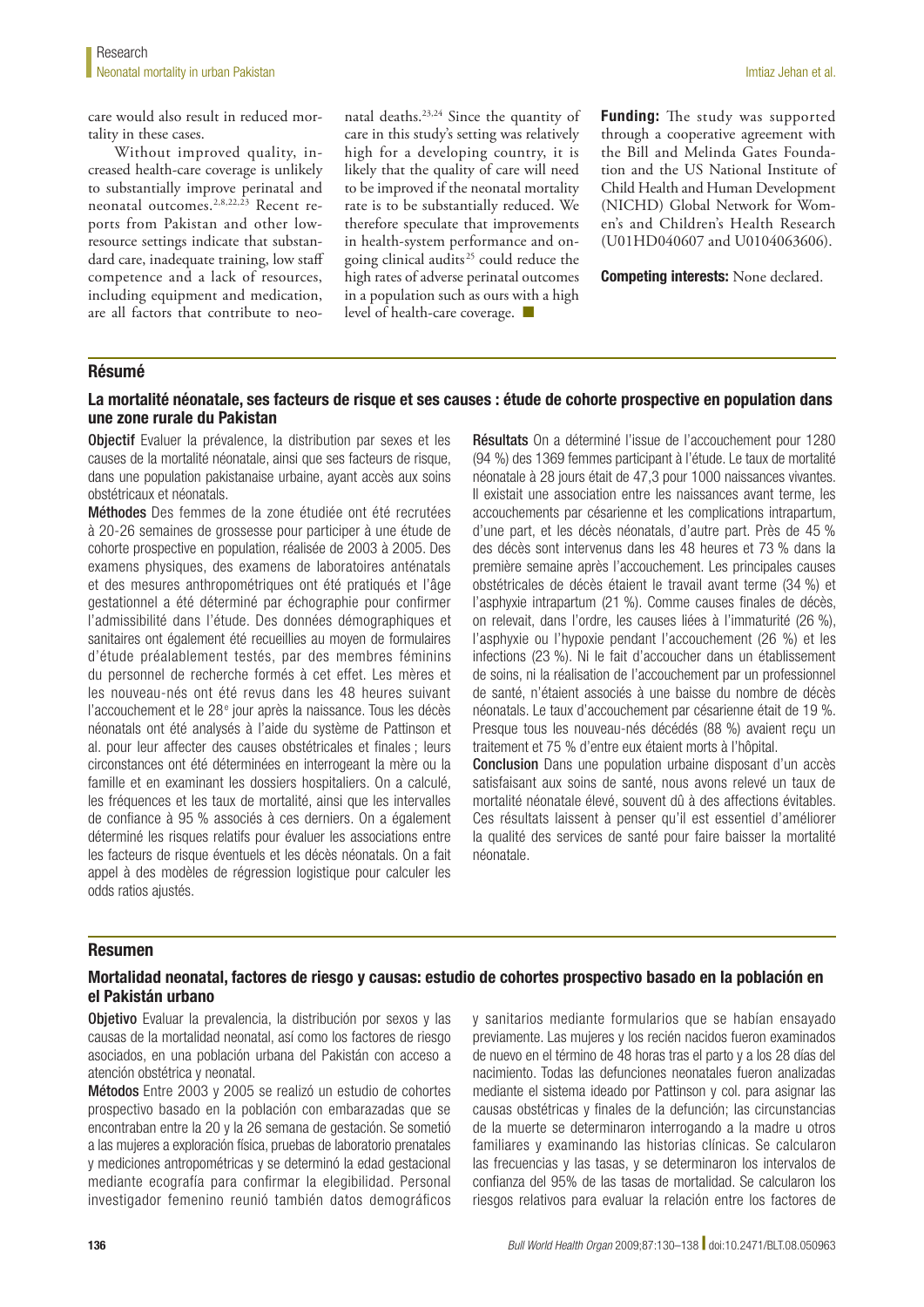care would also result in reduced mortality in these cases.

Without improved quality, increased health-care coverage is unlikely to substantially improve perinatal and neonatal outcomes.2,8,22,23 Recent reports from Pakistan and other lowresource settings indicate that substandard care, inadequate training, low staff competence and a lack of resources, including equipment and medication, are all factors that contribute to neonatal deaths.23,24 Since the quantity of care in this study's setting was relatively high for a developing country, it is likely that the quality of care will need to be improved if the neonatal mortality rate is to be substantially reduced. We therefore speculate that improvements in health-system performance and ongoing clinical audits 25 could reduce the high rates of adverse perinatal outcomes in a population such as ours with a high level of health-care coverage. ■

Funding: The study was supported through a cooperative agreement with the Bill and Melinda Gates Foundation and the US National Institute of Child Health and Human Development (NICHD) Global Network for Women's and Children's Health Research (U01HD040607 and U0104063606).

Competing interests: None declared.

## Résumé

## La mortalité néonatale, ses facteurs de risque et ses causes : étude de cohorte prospective en population dans une zone rurale du Pakistan

Objectif Evaluer la prévalence, la distribution par sexes et les causes de la mortalité néonatale, ainsi que ses facteurs de risque, dans une population pakistanaise urbaine, ayant accès aux soins obstétricaux et néonatals.

Méthodes Des femmes de la zone étudiée ont été recrutées à 20-26 semaines de grossesse pour participer à une étude de cohorte prospective en population, réalisée de 2003 à 2005. Des examens physiques, des examens de laboratoires anténatals et des mesures anthropométriques ont été pratiqués et l'âge gestationnel a été déterminé par échographie pour confirmer l'admissibilité dans l'étude. Des données démographiques et sanitaires ont également été recueillies au moyen de formulaires d'étude préalablement testés, par des membres féminins du personnel de recherche formés à cet effet. Les mères et les nouveau-nés ont été revus dans les 48 heures suivant l'accouchement et le 28<sup>e</sup> jour après la naissance. Tous les décès néonatals ont été analysés à l'aide du système de Pattinson et al. pour leur affecter des causes obstétricales et finales ; leurs circonstances ont été déterminées en interrogeant la mère ou la famille et en examinant les dossiers hospitaliers. On a calculé, les fréquences et les taux de mortalité, ainsi que les intervalles de confiance à 95 % associés à ces derniers. On a également déterminé les risques relatifs pour évaluer les associations entre les facteurs de risque éventuels et les décès néonatals. On a fait appel à des modèles de régression logistique pour calculer les odds ratios ajustés.

Résultats On a déterminé l'issue de l'accouchement pour 1280 (94 %) des 1369 femmes participant à l'étude. Le taux de mortalité néonatale à 28 jours était de 47,3 pour 1000 naissances vivantes. Il existait une association entre les naissances avant terme, les accouchements par césarienne et les complications intrapartum, d'une part, et les décès néonatals, d'autre part. Près de 45 % des décès sont intervenus dans les 48 heures et 73 % dans la première semaine après l'accouchement. Les principales causes obstétricales de décès étaient le travail avant terme (34 %) et l'asphyxie intrapartum (21 %). Comme causes finales de décès, on relevait, dans l'ordre, les causes liées à l'immaturité (26 %), l'asphyxie ou l'hypoxie pendant l'accouchement (26 %) et les infections (23 %). Ni le fait d'accoucher dans un établissement de soins, ni la réalisation de l'accouchement par un professionnel de santé, n'étaient associés à une baisse du nombre de décès néonatals. Le taux d'accouchement par césarienne était de 19 %. Presque tous les nouveau-nés décédés (88 %) avaient reçu un traitement et 75 % d'entre eux étaient morts à l'hôpital. Conclusion Dans une population urbaine disposant d'un accès

satisfaisant aux soins de santé, nous avons relevé un taux de mortalité néonatale élevé, souvent dû à des affections évitables. Ces résultats laissent à penser qu'il est essentiel d'améliorer la qualité des services de santé pour faire baisser la mortalité néonatale.

#### Resumen

## Mortalidad neonatal, factores de riesgo y causas: estudio de cohortes prospectivo basado en la población en el Pakistán urbano

Objetivo Evaluar la prevalencia, la distribución por sexos y las causas de la mortalidad neonatal, así como los factores de riesgo asociados, en una población urbana del Pakistán con acceso a atención obstétrica y neonatal.

Métodos Entre 2003 y 2005 se realizó un estudio de cohortes prospectivo basado en la población con embarazadas que se encontraban entre la 20 y la 26 semana de gestación. Se sometió a las mujeres a exploración física, pruebas de laboratorio prenatales y mediciones antropométricas y se determinó la edad gestacional mediante ecografía para confirmar la elegibilidad. Personal investigador femenino reunió también datos demográficos

y sanitarios mediante formularios que se habían ensayado previamente. Las mujeres y los recién nacidos fueron examinados de nuevo en el término de 48 horas tras el parto y a los 28 días del nacimiento. Todas las defunciones neonatales fueron analizadas mediante el sistema ideado por Pattinson y col. para asignar las causas obstétricas y finales de la defunción; las circunstancias de la muerte se determinaron interrogando a la madre u otros familiares y examinando las historias clínicas. Se calcularon las frecuencias y las tasas, y se determinaron los intervalos de confianza del 95% de las tasas de mortalidad. Se calcularon los riesgos relativos para evaluar la relación entre los factores de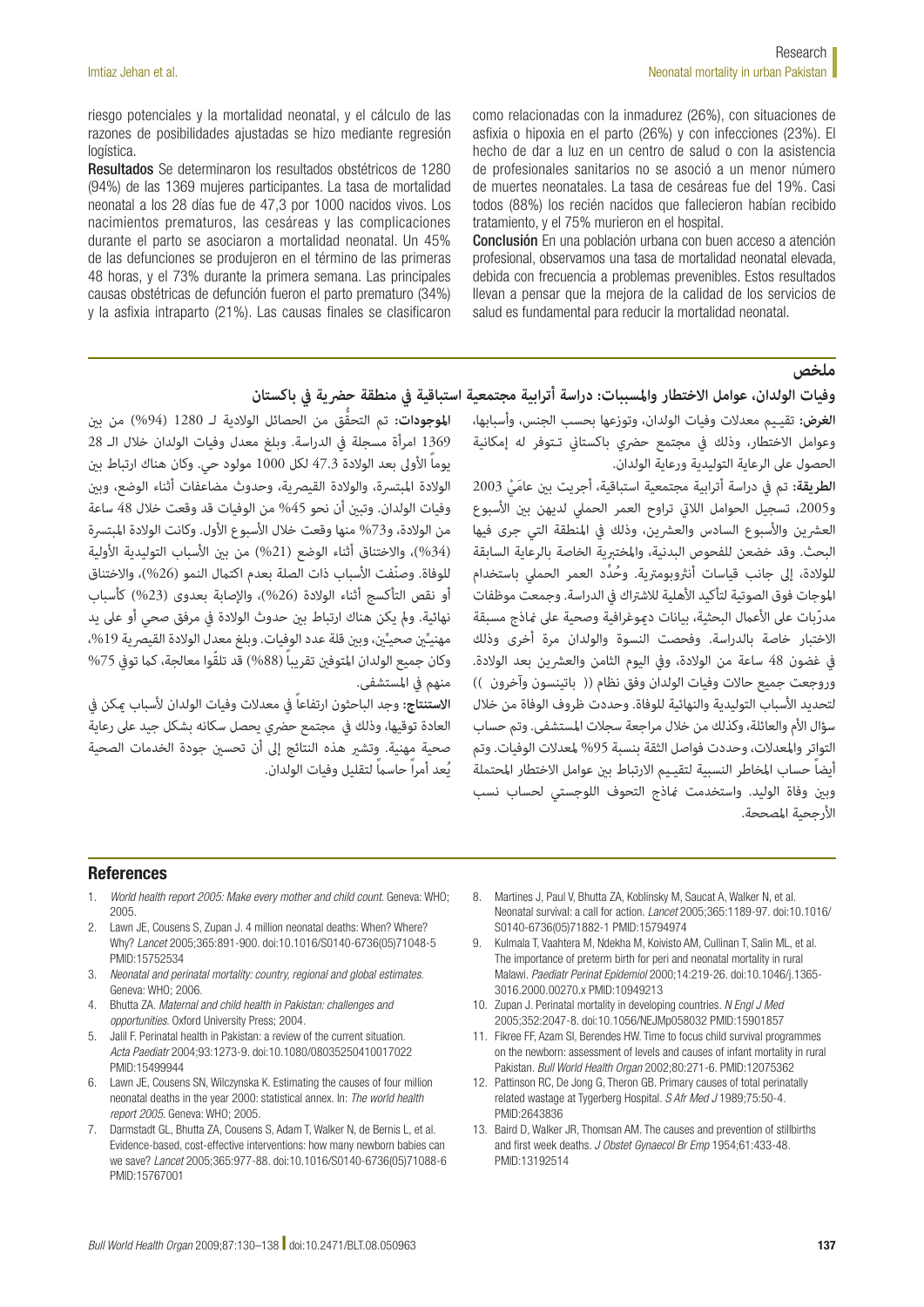riesgo potenciales y la mortalidad neonatal, y el cálculo de las razones de posibilidades ajustadas se hizo mediante regresión logística.

Resultados Se determinaron los resultados obstétricos de 1280 (94%) de las 1369 mujeres participantes. La tasa de mortalidad neonatal a los 28 días fue de 47,3 por 1000 nacidos vivos. Los nacimientos prematuros, las cesáreas y las complicaciones durante el parto se asociaron a mortalidad neonatal. Un 45% de las defunciones se produjeron en el término de las primeras 48 horas, y el 73% durante la primera semana. Las principales causas obstétricas de defunción fueron el parto prematuro (34%) y la asfixia intraparto (21%). Las causas finales se clasificaron como relacionadas con la inmadurez (26%), con situaciones de asfixia o hipoxia en el parto (26%) y con infecciones (23%). El hecho de dar a luz en un centro de salud o con la asistencia de profesionales sanitarios no se asoció a un menor número de muertes neonatales. La tasa de cesáreas fue del 19%. Casi todos (88%) los recién nacidos que fallecieron habían recibido tratamiento, y el 75% murieron en el hospital.

Conclusión En una población urbana con buen acceso a atención profesional, observamos una tasa de mortalidad neonatal elevada, debida con frecuencia a problemas prevenibles. Estos resultados llevan a pensar que la mejora de la calidad de los servicios de salud es fundamental para reducir la mortalidad neonatal.

#### **ملخص**

# وفيات الولدان، عوامل الاختطار والمسببات: دراسة أترابية مجتمعية استباقية في منطقة حضرية في باكستان

**الغرض:** تقيـيم معدالت وفيات الولدان، وتوزعها بحسب الجنس، وأسبابها، وعوامل الاختطار، وذلك في مجتمع حضري باكستاني تـتوفر له إمكانية الحصول عىل الرعاية التوليدية ورعاية الولدان.

الطريقة: تم في دراسة أترابية مجتمعية استباقية، أجريت بن عامَيْ 2003 و2005، تسجيل الحوامل اللاتي تراوح العمر الحملي لديهن بن الأسبوع العشرين والأسبوع السادس والعشرين، وذلك في المنطقة التي جرى فيها البحث. وقد خضعن للفحوص البدنية، واملختربية الخاصة بالرعاية السابقة للولادة، إلى جانب قياسات أنثروبومترية. وحُدِّد العمر الحملي باستخدام الموجات فوق الصوتية لتأكيد الأهلية للاشتراك في الدراسة. وجمعت موظفات مدرّبات على الأعمال البحثية، بيانات دموغرافية وصحية على ماذج مسبقة االختبار خاصة بالدراسة. وفحصت النسوة والولدان مرة أخرى وذلك يف غضون 48 ساعة من الوالدة، ويف اليوم الثامن والعرشين بعد الوالدة. وروجعت جميع حالات وفيات الولدان وفق نظام (( باتينسون وآخرون )) لتحديد األسباب التوليدية والنهائية للوفاة. وحددت ظروف الوفاة من خالل سؤال الأم والعائلة، وكذلك من خلال مراجعة سجلات المستشفى. وتم حساب التواتر والمعدلات، وحددت فواصل الثقة بنسبة 95% لمعدلات الوفيات. وتم أيضاً حساب املخاطر النسبية لتقيـيم االرتباط بني عوامل االختطار املحتملة وبني وفاة الوليد. واستخدمت مناذج التحوف اللوجستي لحساب نسب الأرجحية المصححة.

ا**لموجودات:** تم التحقُّق من الحصائل الولادية لــ 1280 (94%) من بن 1369 امرأة مسجلة يف الدراسة. وبلغ معدل وفيات الولدان خالل الـ 28 يوماً األوىل بعد الوالدة 47.3 لكل 1000 مولود حي. وكان هناك ارتباط بني الولادة المبتسرة، والولادة القيصرية، وحدوث مضاعفات أثناء الوضع، وبن وفيات الولدان. وتبني أن نحو %45 من الوفيات قد وقعت خالل 48 ساعة من الولادة، و73% منها وقعت خلال الأسبوع الأول. وكانت الولادة المبتسرة (34%)، والاختناق أثناء الوضع (21%) من بين الأسباب التوليدية الأولية للوفاة. وصنّفت الأسباب ذات الصلة بعدم اكتمال النمو (26%)، والاختناق أو نقص التأكسج أثناء الولادة (26%)، والإصابة بعدوى (23%) كأسباب نهائية. ومل يكن هناك ارتباط بني حدوث الوالدة يف مرفق صحي أو عىل يد مهنيِّين صحيٍّين، وبين قلة عدد الوِفِيات. وبلغ معدل الولادة القيصرية 19%، وكان جميع الولدان المتوفين تقريباً (88%) قد تلقّوا معالجة، كما توفي 75% منهم في المستشفى.

**االستنتاج:** وجد الباحثون ارتفاعاً يف معدالت وفيات الولدان ألسباب ميكن يف العادة توقيها، وذلك في مجتمع حضري يحصل سكانه بشكل جيد على رعاية صحية مهنية. وتشري هذه النتائج إىل أن تحسني جودة الخدمات الصحية يُعد أمراً حاسماً لتقليل وفيات الولدان.

#### References

- 1. *World health report 2005: Make every mother and child count*. Geneva: WHO; 2005.
- 2. Lawn JE, Cousens S, Zupan J. 4 million neonatal deaths: When? Where? Why? *Lancet* 2005;365:891-900. [doi:10.1016/S0140-6736\(05\)71048-5](http://dx.doi.org/10.1016/S0140-6736(05)71048-5) [PMID:15752534](http://www.ncbi.nlm.nih.gov/sites/entrez?cmd=Retrieve&db=PubMed&list_uids=15752534&dopt=Abstract)
- 3. *Neonatal and perinatal mortality: country, regional and global estimates*. Geneva: WHO; 2006.
- 4. Bhutta ZA. *Maternal and child health in Pakistan: challenges and opportunities*. Oxford University Press; 2004.
- 5. Jalil F. Perinatal health in Pakistan: a review of the current situation. *Acta Paediatr* 2004;93:1273-9. [doi:10.1080/08035250410017022](http://dx.doi.org/10.1080/08035250410017022) [PMID:15499944](http://www.ncbi.nlm.nih.gov/sites/entrez?cmd=Retrieve&db=PubMed&list_uids=15499944&dopt=Abstract)
- 6. Lawn JE, Cousens SN, Wilczynska K. Estimating the causes of four million neonatal deaths in the year 2000: statistical annex. In: *The world health report 2005*. Geneva: WHO; 2005.
- 7. Darmstadt GL, Bhutta ZA, Cousens S, Adam T, Walker N, de Bernis L, et al. Evidence-based, cost-effective interventions: how many newborn babies can we save? *Lancet* 2005;365:977-88. [doi:10.1016/S0140-6736\(05\)71088-6](http://dx.doi.org/10.1016/S0140-6736(05)71088-6) [PMID:15767001](http://www.ncbi.nlm.nih.gov/sites/entrez?cmd=Retrieve&db=PubMed&list_uids=15767001&dopt=Abstract)
- 8. Martines J, Paul V, Bhutta ZA, Koblinsky M, Saucat A, Walker N, et al. Neonatal survival: a call for action. *Lancet* 2005;365:1189-97. [doi:10.1016/](http://dx.doi.org/10.1016/S0140-6736(05)71882-1) [S0140-6736\(05\)71882-1](http://dx.doi.org/10.1016/S0140-6736(05)71882-1) [PMID:15794974](http://www.ncbi.nlm.nih.gov/sites/entrez?cmd=Retrieve&db=PubMed&list_uids=15794974&dopt=Abstract)
- 9. Kulmala T, Vaahtera M, Ndekha M, Koivisto AM, Cullinan T, Salin ML, et al. The importance of preterm birth for peri and neonatal mortality in rural Malawi. *Paediatr Perinat Epidemiol* 2000;14:219-26. [doi:10.1046/j.1365-](http://dx.doi.org/10.1046/j.1365-3016.2000.00270.x) [3016.2000.00270.x](http://dx.doi.org/10.1046/j.1365-3016.2000.00270.x) [PMID:10949213](http://www.ncbi.nlm.nih.gov/sites/entrez?cmd=Retrieve&db=PubMed&list_uids=10949213&dopt=Abstract)
- 10. Zupan J. Perinatal mortality in developing countries. *N Engl J Med* 2005;352:2047-8. [doi:10.1056/NEJMp058032](http://dx.doi.org/10.1056/NEJMp058032) [PMID:15901857](http://www.ncbi.nlm.nih.gov/sites/entrez?cmd=Retrieve&db=PubMed&list_uids=15901857&dopt=Abstract)
- 11. Fikree FF, Azam SI, Berendes HW. Time to focus child survival programmes on the newborn: assessment of levels and causes of infant mortality in rural Pakistan. *Bull World Health Organ* 2002;80:271-6. [PMID:12075362](http://www.ncbi.nlm.nih.gov/sites/entrez?cmd=Retrieve&db=PubMed&list_uids=12075362&dopt=Abstract)
- 12. Pattinson RC, De Jong G, Theron GB. Primary causes of total perinatally related wastage at Tygerberg Hospital. *S Afr Med J* 1989;75:50-4. [PMID:2643836](http://www.ncbi.nlm.nih.gov/sites/entrez?cmd=Retrieve&db=PubMed&list_uids=2643836&dopt=Abstract)
- 13. Baird D, Walker JR, Thomsan AM. The causes and prevention of stillbirths and first week deaths. *J Obstet Gynaecol Br Emp* 1954;61:433-48. [PMID:13192514](http://www.ncbi.nlm.nih.gov/sites/entrez?cmd=Retrieve&db=PubMed&list_uids=13192514&dopt=Abstract)